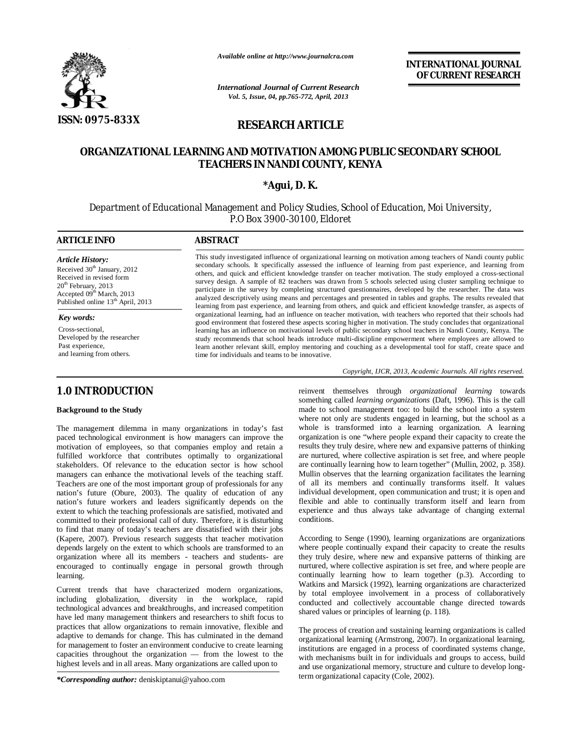

*Available online at http://www.journalcra.com*

*International Journal of Current Research Vol. 5, Issue, 04, pp.765-772, April, 2013*

**INTERNATIONAL JOURNAL OF CURRENT RESEARCH** 

# **RESEARCH ARTICLE**

# **ORGANIZATIONAL LEARNING AND MOTIVATION AMONG PUBLIC SECONDARY SCHOOL TEACHERS IN NANDI COUNTY, KENYA**

# **\*Agui, D. K.**

Department of Educational Management and Policy Studies, School of Education, Moi University, P.O Box 3900-30100, Eldoret

## **ARTICLE INFO ABSTRACT**

*Article History:* Received  $30<sup>th</sup>$  January, 2012 Received in revised form 20<sup>th</sup> February, 2013 Accepted  $09<sup>th</sup>$  March, 2013 Published online 13<sup>th</sup> April, 2013

*Key words:* Cross-sectional, Developed by the researcher Past experience, and learning from others.

# **1.0 INTRODUCTION**

## **Background to the Study**

The management dilemma in many organizations in today's fast paced technological environment is how managers can improve the motivation of employees, so that companies employ and retain a fulfilled workforce that contributes optimally to organizational stakeholders. Of relevance to the education sector is how school managers can enhance the motivational levels of the teaching staff. Teachers are one of the most important group of professionals for any nation's future (Obure, 2003). The quality of education of any nation's future workers and leaders significantly depends on the extent to which the teaching professionals are satisfied, motivated and committed to their professional call of duty. Therefore, it is disturbing to find that many of today's teachers are dissatisfied with their jobs (Kapere, 2007). Previous research suggests that teacher motivation depends largely on the extent to which schools are transformed to an organization where all its members - teachers and students- are encouraged to continually engage in personal growth through learning.

Current trends that have characterized modern organizations, including globalization, diversity in the workplace, rapid technological advances and breakthroughs, and increased competition have led many management thinkers and researchers to shift focus to practices that allow organizations to remain innovative, flexible and adaptive to demands for change. This has culminated in the demand for management to foster an environment conducive to create learning capacities throughout the organization — from the lowest to the highest levels and in all areas. Many organizations are called upon to

*\*Corresponding author:* deniskiptanui@yahoo.com

This study investigated influence of organizational learning on motivation among teachers of Nandi county public secondary schools. It specifically assessed the influence of learning from past experience, and learning from others, and quick and efficient knowledge transfer on teacher motivation. The study employed a cross-sectional survey design. A sample of 82 teachers was drawn from 5 schools selected using cluster sampling technique to participate in the survey by completing structured questionnaires, developed by the researcher. The data was analyzed descriptively using means and percentages and presented in tables and graphs. The results revealed that learning from past experience, and learning from others, and quick and efficient knowledge transfer, as aspects of organizational learning, had an influence on teacher motivation, with teachers who reported that their schools had good environment that fostered these aspects scoring higher in motivation. The study concludes that organizational learning has an influence on motivational levels of public secondary school teachers in Nandi County, Kenya. The study recommends that school heads introduce multi-discipline empowerment where employees are allowed to learn another relevant skill, employ mentoring and couching as a developmental tool for staff, create space and time for individuals and teams to be innovative.

*Copyright, IJCR, 2013, Academic Journals. All rights reserved.*

reinvent themselves through *organizational learning* towards something called *learning organizations* (Daft, 1996). This is the call made to school management too: to build the school into a system where not only are students engaged in learning, but the school as a whole is transformed into a learning organization. A learning organization is one "where people expand their capacity to create the results they truly desire, where new and expansive patterns of thinking are nurtured, where collective aspiration is set free, and where people are continually learning how to learn together" (Mullin, 2002, p. 358*).*  Mullin observes that the learning organization facilitates the learning of all its members and continually transforms itself. It values individual development, open communication and trust; it is open and flexible and able to continually transform itself and learn from experience and thus always take advantage of changing external conditions.

According to Senge (1990), learning organizations are organizations where people continually expand their capacity to create the results they truly desire, where new and expansive patterns of thinking are nurtured, where collective aspiration is set free, and where people are continually learning how to learn together (p.3). According to Watkins and Marsick (1992), learning organizations are characterized by total employee involvement in a process of collaboratively conducted and collectively accountable change directed towards shared values or principles of learning (p. 118).

The process of creation and sustaining learning organizations is called organizational learning (Armstrong, 2007). In organizational learning, institutions are engaged in a process of coordinated systems change, with mechanisms built in for individuals and groups to access, build and use organizational memory, structure and culture to develop longterm organizational capacity (Cole, 2002).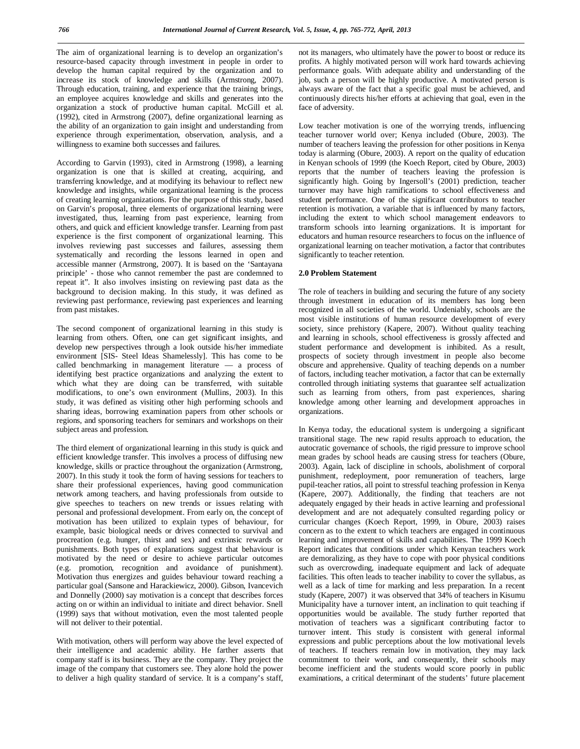The aim of organizational learning is to develop an organization's resource-based capacity through investment in people in order to develop the human capital required by the organization and to increase its stock of knowledge and skills (Armstrong, 2007). Through education, training, and experience that the training brings, an employee acquires knowledge and skills and generates into the organization a stock of productive human capital. McGill et al. (1992), cited in Armstrong (2007), define organizational learning as the ability of an organization to gain insight and understanding from experience through experimentation, observation, analysis, and a willingness to examine both successes and failures.

According to Garvin (1993), cited in Armstrong (1998), a learning organization is one that is skilled at creating, acquiring, and transferring knowledge, and at modifying its behaviour to reflect new knowledge and insights, while organizational learning is the process of creating learning organizations. For the purpose of this study, based on Garvin's proposal, three elements of organizational learning were investigated, thus, learning from past experience, learning from others, and quick and efficient knowledge transfer. Learning from past experience is the first component of organizational learning. This involves reviewing past successes and failures, assessing them systematically and recording the lessons learned in open and accessible manner (Armstrong, 2007). It is based on the 'Santayana principle' - those who cannot remember the past are condemned to repeat it". It also involves insisting on reviewing past data as the background to decision making. In this study, it was defined as reviewing past performance, reviewing past experiences and learning from past mistakes.

The second component of organizational learning in this study is learning from others. Often, one can get significant insights, and develop new perspectives through a look outside his/her immediate environment [SIS- Steel Ideas Shamelessly]. This has come to be called benchmarking in management literature — a process of identifying best practice organizations and analyzing the extent to which what they are doing can be transferred, with suitable modifications, to one's own environment (Mullins, 2003). In this study, it was defined as visiting other high performing schools and sharing ideas, borrowing examination papers from other schools or regions, and sponsoring teachers for seminars and workshops on their subject areas and profession.

The third element of organizational learning in this study is quick and efficient knowledge transfer. This involves a process of diffusing new knowledge, skills or practice throughout the organization (Armstrong, 2007). In this study it took the form of having sessions for teachers to share their professional experiences, having good communication network among teachers, and having professionals from outside to give speeches to teachers on new trends or issues relating with personal and professional development. From early on, the concept of motivation has been utilized to explain types of behaviour, for example, basic biological needs or drives connected to survival and procreation (e.g. hunger, thirst and sex) and extrinsic rewards or punishments. Both types of explanations suggest that behaviour is motivated by the need or desire to achieve particular outcomes (e.g. promotion, recognition and avoidance of punishment). Motivation thus energizes and guides behaviour toward reaching a particular goal (Sansone and Harackiewicz, 2000). Gibson, Ivancevich and Donnelly (2000) say motivation is a concept that describes forces acting on or within an individual to initiate and direct behavior. Snell (1999) says that without motivation, even the most talented people will not deliver to their potential.

With motivation, others will perform way above the level expected of their intelligence and academic ability. He farther asserts that company staff is its business. They are the company. They project the image of the company that customers see. They alone hold the power to deliver a high quality standard of service. It is a company's staff, not its managers, who ultimately have the power to boost or reduce its profits. A highly motivated person will work hard towards achieving performance goals. With adequate ability and understanding of the job, such a person will be highly productive. A motivated person is always aware of the fact that a specific goal must be achieved, and continuously directs his/her efforts at achieving that goal, even in the face of adversity.

Low teacher motivation is one of the worrying trends, influencing teacher turnover world over; Kenya included (Obure, 2003). The number of teachers leaving the profession for other positions in Kenya today is alarming (Obure, 2003). A report on the quality of education in Kenyan schools of 1999 (the Koech Report, cited by Obure, 2003) reports that the number of teachers leaving the profession is significantly high. Going by Ingersoll's (2001) prediction, teacher turnover may have high ramifications to school effectiveness and student performance. One of the significant contributors to teacher retention is motivation, a variable that is influenced by many factors, including the extent to which school management endeavors to transform schools into learning organizations. It is important for educators and human resource researchers to focus on the influence of organizational learning on teacher motivation, a factor that contributes significantly to teacher retention.

#### **2.0 Problem Statement**

The role of teachers in building and securing the future of any society through investment in education of its members has long been recognized in all societies of the world. Undeniably, schools are the most visible institutions of human resource development of every society, since prehistory (Kapere, 2007). Without quality teaching and learning in schools, school effectiveness is grossly affected and student performance and development is inhibited. As a result, prospects of society through investment in people also become obscure and apprehensive. Quality of teaching depends on a number of factors, including teacher motivation, a factor that can be externally controlled through initiating systems that guarantee self actualization such as learning from others, from past experiences, sharing knowledge among other learning and development approaches in organizations.

In Kenya today, the educational system is undergoing a significant transitional stage. The new rapid results approach to education, the autocratic governance of schools, the rigid pressure to improve school mean grades by school heads are causing stress for teachers (Obure, 2003). Again, lack of discipline in schools, abolishment of corporal punishment, redeployment, poor remuneration of teachers, large pupil-teacher ratios, all point to stressful teaching profession in Kenya (Kapere, 2007). Additionally, the finding that teachers are not adequately engaged by their heads in active learning and professional development and are not adequately consulted regarding policy or curricular changes (Koech Report, 1999, in Obure, 2003) raises concern as to the extent to which teachers are engaged in continuous learning and improvement of skills and capabilities. The 1999 Koech Report indicates that conditions under which Kenyan teachers work are demoralizing, as they have to cope with poor physical conditions such as overcrowding, inadequate equipment and lack of adequate facilities. This often leads to teacher inability to cover the syllabus, as well as a lack of time for marking and less preparation. In a recent study (Kapere, 2007) it was observed that 34% of teachers in Kisumu Municipality have a turnover intent, an inclination to quit teaching if opportunities would be available. The study further reported that motivation of teachers was a significant contributing factor to turnover intent. This study is consistent with general informal expressions and public perceptions about the low motivational levels of teachers. If teachers remain low in motivation, they may lack commitment to their work, and consequently, their schools may become inefficient and the students would score poorly in public examinations, a critical determinant of the students' future placement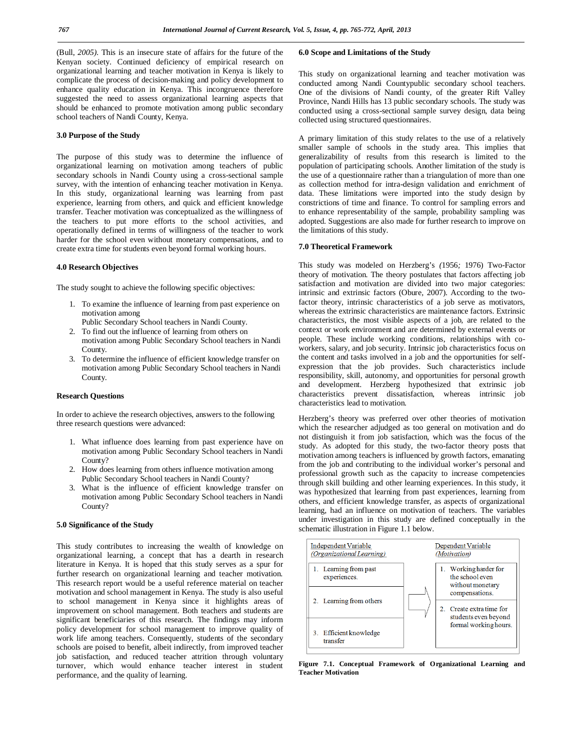(Bull, *2005).* This is an insecure state of affairs for the future of the Kenyan society. Continued deficiency of empirical research on organizational learning and teacher motivation in Kenya is likely to complicate the process of decision-making and policy development to enhance quality education in Kenya. This incongruence therefore suggested the need to assess organizational learning aspects that should be enhanced to promote motivation among public secondary school teachers of Nandi County, Kenya.

## **3.0 Purpose of the Study**

The purpose of this study was to determine the influence of organizational learning on motivation among teachers of public secondary schools in Nandi County using a cross-sectional sample survey, with the intention of enhancing teacher motivation in Kenya. In this study, organizational learning was learning from past experience, learning from others, and quick and efficient knowledge transfer. Teacher motivation was conceptualized as the willingness of the teachers to put more efforts to the school activities, and operationally defined in terms of willingness of the teacher to work harder for the school even without monetary compensations, and to create extra time for students even beyond formal working hours.

### **4.0 Research Objectives**

The study sought to achieve the following specific objectives:

- 1. To examine the influence of learning from past experience on motivation among
	- Public Secondary School teachers in Nandi County.
- 2. To find out the influence of learning from others on motivation among Public Secondary School teachers in Nandi County.
- 3. To determine the influence of efficient knowledge transfer on motivation among Public Secondary School teachers in Nandi County.

## **Research Questions**

In order to achieve the research objectives, answers to the following three research questions were advanced:

- 1. What influence does learning from past experience have on motivation among Public Secondary School teachers in Nandi County?
- 2. How does learning from others influence motivation among Public Secondary School teachers in Nandi County?
- 3. What is the influence of efficient knowledge transfer on motivation among Public Secondary School teachers in Nandi County?

## **5.0 Significance of the Study**

This study contributes to increasing the wealth of knowledge on organizational learning, a concept that has a dearth in research literature in Kenya. It is hoped that this study serves as a spur for further research on organizational learning and teacher motivation. This research report would be a useful reference material on teacher motivation and school management in Kenya. The study is also useful to school management in Kenya since it highlights areas of improvement on school management. Both teachers and students are significant beneficiaries of this research. The findings may inform policy development for school management to improve quality of work life among teachers. Consequently, students of the secondary schools are poised to benefit, albeit indirectly, from improved teacher job satisfaction, and reduced teacher attrition through voluntary turnover, which would enhance teacher interest in student performance, and the quality of learning.

#### **6.0 Scope and Limitations of the Study**

This study on organizational learning and teacher motivation was conducted among Nandi Countypublic secondary school teachers. One of the divisions of Nandi county, of the greater Rift Valley Province, Nandi Hills has 13 public secondary schools. The study was conducted using a cross-sectional sample survey design, data being collected using structured questionnaires.

A primary limitation of this study relates to the use of a relatively smaller sample of schools in the study area. This implies that generalizability of results from this research is limited to the population of participating schools. Another limitation of the study is the use of a questionnaire rather than a triangulation of more than one as collection method for intra-design validation and enrichment of data. These limitations were imported into the study design by constrictions of time and finance. To control for sampling errors and to enhance representability of the sample, probability sampling was adopted. Suggestions are also made for further research to improve on the limitations of this study.

### **7.0 Theoretical Framework**

This study was modeled on Herzberg's *(*1956*;* 1976) Two-Factor theory of motivation. The theory postulates that factors affecting job satisfaction and motivation are divided into two major categories: intrinsic and extrinsic factors (Obure, 2007). According to the twofactor theory, intrinsic characteristics of a job serve as motivators, whereas the extrinsic characteristics are maintenance factors. Extrinsic characteristics, the most visible aspects of a job, are related to the context or work environment and are determined by external events or people. These include working conditions, relationships with coworkers, salary, and job security. Intrinsic job characteristics focus on the content and tasks involved in a job and the opportunities for selfexpression that the job provides. Such characteristics include responsibility, skill, autonomy, and opportunities for personal growth and development. Herzberg hypothesized that extrinsic job characteristics prevent dissatisfaction, whereas intrinsic job characteristics lead to motivation.

Herzberg's theory was preferred over other theories of motivation which the researcher adjudged as too general on motivation and do not distinguish it from job satisfaction, which was the focus of the study. As adopted for this study, the two-factor theory posts that motivation among teachers is influenced by growth factors, emanating from the job and contributing to the individual worker's personal and professional growth such as the capacity to increase competencies through skill building and other learning experiences. In this study, it was hypothesized that learning from past experiences, learning from others, and efficient knowledge transfer, as aspects of organizational learning, had an influence on motivation of teachers. The variables under investigation in this study are defined conceptually in the schematic illustration in Figure 1.1 below.



**Figure 7.1. Conceptual Framework of Organizational Learning and Teacher Motivation**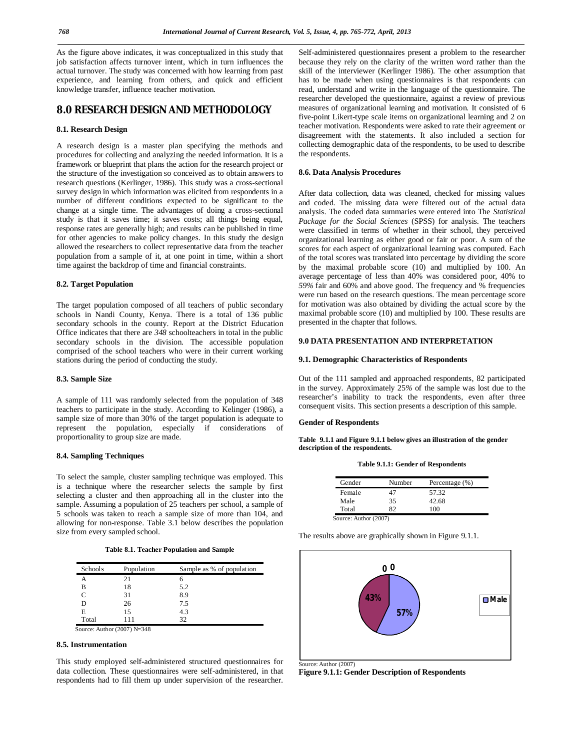As the figure above indicates, it was conceptualized in this study that job satisfaction affects turnover intent, which in turn influences the actual turnover. The study was concerned with how learning from past experience, and learning from others, and quick and efficient knowledge transfer, influence teacher motivation.

# **8.0 RESEARCH DESIGN AND METHODOLOGY**

## **8.1. Research Design**

A research design is a master plan specifying the methods and procedures for collecting and analyzing the needed information. It is a framework or blueprint that plans the action for the research project or the structure of the investigation so conceived as to obtain answers to research questions (Kerlinger, 1986). This study was a cross-sectional survey design in which information was elicited from respondents in a number of different conditions expected to be significant to the change at a single time. The advantages of doing a cross-sectional study is that it saves time; it saves costs; all things being equal, response rates are generally high; and results can be published in time for other agencies to make policy changes. In this study the design allowed the researchers to collect representative data from the teacher population from a sample of it, at one point in time, within a short time against the backdrop of time and financial constraints.

#### **8.2. Target Population**

The target population composed of all teachers of public secondary schools in Nandi County, Kenya. There is a total of 136 public secondary schools in the county. Report at the District Education Office indicates that there are *348* schoolteachers in total in the public secondary schools in the division. The accessible population comprised of the school teachers who were in their current working stations during the period of conducting the study.

### **8.3. Sample Size**

A sample of 111 was randomly selected from the population of 348 teachers to participate in the study. According to Kelinger (1986), a sample size of more than 30% of the target population is adequate to represent the population, especially if considerations of proportionality to group size are made.

#### **8.4. Sampling Techniques**

To select the sample, cluster sampling technique was employed. This is a technique where the researcher selects the sample by first selecting a cluster and then approaching all in the cluster into the sample. Assuming a population of 25 teachers per school, a sample of 5 schools was taken to reach a sample size of more than 104, and allowing for non-response. Table 3.1 below describes the population size from every sampled school.

**Table 8.1. Teacher Population and Sample**

| <b>Schools</b> | Population | Sample as % of population |
|----------------|------------|---------------------------|
| А              | 21         |                           |
| в              | 18         | 5.2                       |
| C              | 31         | 8.9                       |
| D              | 26         | 7.5                       |
| Е              | 15         | 4.3                       |
| Total          | 111        | 32                        |

#### **8.5. Instrumentation**

This study employed self-administered structured questionnaires for data collection. These questionnaires were self-administered, in that respondents had to fill them up under supervision of the researcher.

Self-administered questionnaires present a problem to the researcher because they rely on the clarity of the written word rather than the skill of the interviewer (Kerlinger 1986). The other assumption that has to be made when using questionnaires is that respondents can read, understand and write in the language of the questionnaire. The researcher developed the questionnaire, against a review of previous measures of organizational learning and motivation. It consisted of 6 five-point Likert-type scale items on organizational learning and 2 on teacher motivation. Respondents were asked to rate their agreement or disagreement with the statements. It also included a section for collecting demographic data of the respondents, to be used to describe the respondents.

### **8.6. Data Analysis Procedures**

After data collection, data was cleaned, checked for missing values and coded. The missing data were filtered out of the actual data analysis. The coded data summaries were entered into The *Statistical Package for the Social Sciences* (SPSS) for analysis. The teachers were classified in terms of whether in their school, they perceived organizational learning as either good or fair or poor. A sum of the scores for each aspect of organizational learning was computed. Each of the total scores was translated into percentage by dividing the score by the maximal probable score (10) and multiplied by 100. An average percentage of less than 40% was considered poor, 40% to *59%* fair and 60% and above good. The frequency and % frequencies were run based on the research questions. The mean percentage score for motivation was also obtained by dividing the actual score by the maximal probable score (10) and multiplied by 100. These results are presented in the chapter that follows.

## **9.0 DATA PRESENTATION AND INTERPRETATION**

#### **9.1. Demographic Characteristics of Respondents**

Out of the 111 sampled and approached respondents, 82 participated in the survey. Approximately 25*%* of the sample was lost due to the researcher's inability to track the respondents, even after three consequent visits. This section presents a description of this sample.

#### **Gender of Respondents**

**Table 9.1.1 and Figure 9.1.1 below gives an illustration of the gender description of the respondents.** 

| Gender         | Number  | Percentage $(\%)$ |
|----------------|---------|-------------------|
| Female         | 47      | 57.32             |
| Male           | 35      | 42.68             |
| Total          | 82      | 100               |
| $\cdot$ 1<br>٠ | (0.007) |                   |

Source: Author (2007)

The results above are graphically shown in Figure 9.1.1.



Source: Author (2007)

**Figure 9.1.1: Gender Description of Respondents**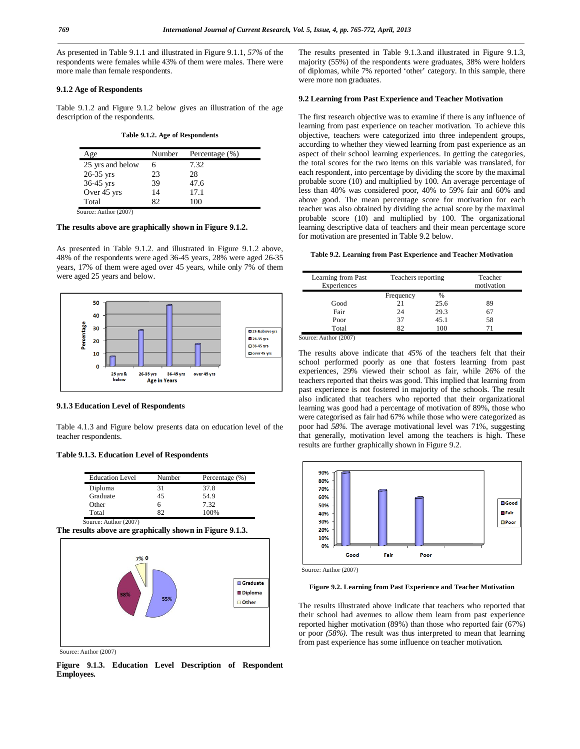As presented in Table 9.1.1 and illustrated in Figure 9.1.1, *57%* of the respondents were females while 43% of them were males. There were more male than female respondents.

## **9.1.2 Age of Respondents**

Table 9.1.2 and Figure 9.1.2 below gives an illustration of the age description of the respondents.

**Table 9.1.2. Age of Respondents**

| Age              | Number | Percentage (%) |
|------------------|--------|----------------|
| 25 yrs and below |        | 7.32           |
| $26-35$ yrs      | 23     | 28             |
| $36-45$ yrs      | 39     | 47.6           |
| Over 45 yrs      | 14     | 17.1           |
| Total            | 82     | 100            |

Source: Author (2007)

## **The results above are graphically shown in Figure 9.1.2.**

As presented in Table 9.1.2. and illustrated in Figure 9.1.2 above, 48% of the respondents were aged 36-45 years, 28% were aged 26-35 years, 17% of them were aged over 45 years, while only 7% of them were aged 25 years and below.



## **9.1.3 Education Level of Respondents**

Table 4.1.3 and Figure below presents data on education level of the teacher respondents.

#### **Table 9.1.3. Education Level of Respondents**

| <b>Education Level</b> | Number | Percentage (%) |
|------------------------|--------|----------------|
| Diploma                | 31     | 37.8           |
| Graduate               | 45     | 54.9           |
| Other                  | 6      | 7.32           |
| Total                  |        | 100%           |

Source: Author (2007)

**The results above are graphically shown in Figure 9.1.3.**



Source: Author (2007)

**Figure 9.1.3. Education Level Description of Respondent Employees.**

The results presented in Table 9.1.3.and illustrated in Figure 9.1.3, majority (55%) of the respondents were graduates, 38% were holders of diplomas, while 7% reported 'other' category. In this sample, there were more non graduates.

## **9.2 Learning from Past Experience and Teacher Motivation**

The first research objective was to examine if there is any influence of learning from past experience on teacher motivation. To achieve this objective, teachers were categorized into three independent groups, according to whether they viewed learning from past experience as an aspect of their school learning experiences. In getting the categories, the total scores for the two items on this variable was translated, for each respondent, into percentage by dividing the score by the maximal probable score (10) and multiplied by 100. An average percentage of less than 40% was considered poor, 40% to 59% fair and 60% and above good. The mean percentage score for motivation for each teacher was also obtained by dividing the actual score by the maximal probable score (10) and multiplied by 100. The organizational learning descriptive data of teachers and their mean percentage score for motivation are presented in Table 9.2 below.

## **Table 9.2. Learning from Past Experience and Teacher Motivation**

| Learning from Past<br>Experiences | Teachers reporting |      | Teacher<br>motivation |
|-----------------------------------|--------------------|------|-----------------------|
|                                   | Frequency          | $\%$ |                       |
| Good                              | 21                 | 25.6 | 89                    |
| Fair                              | 24                 | 29.3 |                       |
| Poor                              | 37                 | 45.1 | 58                    |
| Total                             |                    | 100  |                       |

Source: Author (2007)

The results above indicate that *45%* of the teachers felt that their school performed poorly as one that fosters learning from past experiences, 29% viewed their school as fair, while 26% of the teachers reported that theirs was good. This implied that learning from past experience is not fostered in majority of the schools. The result also indicated that teachers who reported that their organizational learning was good had a percentage of motivation of 89%, those who were categorised as fair had 67% while those who were categorized as poor had *58%.* The average motivational level was 71%, suggesting that generally, motivation level among the teachers is high. These results are further graphically shown in Figure 9.2.



Source: Author (2007)

## **Figure 9.2. Learning from Past Experience and Teacher Motivation**

The results illustrated above indicate that teachers who reported that their school had avenues to allow them learn from past experience reported higher motivation (89%) than those who reported fair (67%) or poor *(58%).* The result was thus interpreted to mean that learning from past experience has some influence on teacher motivation.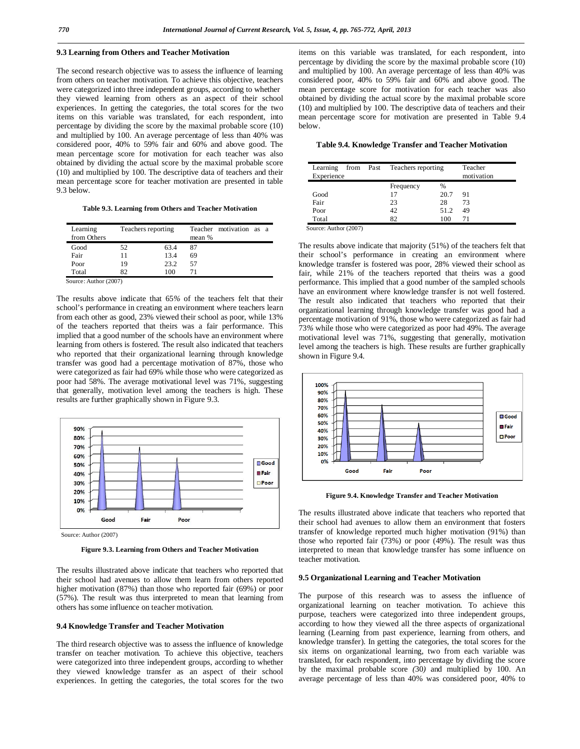## **9.3 Learning from Others and Teacher Motivation**

The second research objective was to assess the influence of learning from others on teacher motivation. To achieve this objective, teachers were categorized into three independent groups, according to whether they viewed learning from others as an aspect of their school experiences. In getting the categories, the total scores for the two items on this variable was translated, for each respondent, into percentage by dividing the score by the maximal probable score (10) and multiplied by 100. An average percentage of less than 40% was considered poor, 40% to 59% fair and 60% and above good. The mean percentage score for motivation for each teacher was also obtained by dividing the actual score by the maximal probable score (10) and multiplied by 100. The descriptive data of teachers and their mean percentage score for teacher motivation are presented in table 9.3 below.

**Table 9.3. Learning from Others and Teacher Motivation**

| Learning<br>from Others |    | Teachers reporting | mean %     | Teacher motivation as a |  |
|-------------------------|----|--------------------|------------|-------------------------|--|
| Good                    | 52 | 63.4               | 87         |                         |  |
| Fair                    | 11 | 13.4               | 69         |                         |  |
| Poor                    | 19 | 23.2               | 57         |                         |  |
| Total                   | 82 | 100                | $\prime$ 1 |                         |  |
| Source: Author (2007)   |    |                    |            |                         |  |

The results above indicate that 65*%* of the teachers felt that their school's performance in creating an environment where teachers learn from each other as good, 23% viewed their school as poor, while 13% of the teachers reported that theirs was a fair performance. This implied that a good number of the schools have an environment where learning from others is fostered. The result also indicated that teachers who reported that their organizational learning through knowledge transfer was good had a percentage motivation of 87%, those who were categorized as fair had 69% while those who were categorized as poor had 58%. The average motivational level was 71%, suggesting



that generally, motivation level among the teachers is high. These

results are further graphically shown in Figure 9.3.

Source: Author (2007)

**Figure 9.3. Learning from Others and Teacher Motivation**

The results illustrated above indicate that teachers who reported that their school had avenues to allow them learn from others reported higher motivation (87%) than those who reported fair (69%) or poor (57%). The result was thus interpreted to mean that learning from others has some influence on teacher motivation.

## **9.4 Knowledge Transfer and Teacher Motivation**

The third research objective was to assess the influence of knowledge transfer on teacher motivation. To achieve this objective, teachers were categorized into three independent groups, according to whether they viewed knowledge transfer as an aspect of their school experiences. In getting the categories, the total scores for the two items on this variable was translated, for each respondent, into percentage by dividing the score by the maximal probable score (10) and multiplied by 100. An average percentage of less than 40% was considered poor, 40% to 59% fair and 60% and above good. The mean percentage score for motivation for each teacher was also obtained by dividing the actual score by the maximal probable score (10) and multiplied by 100. The descriptive data of teachers and their mean percentage score for motivation are presented in Table 9.4 below.

**Table 9.4. Knowledge Transfer and Teacher Motivation**

| Learning<br>Experience | from Past Teachers reporting |      | Teacher<br>motivation |
|------------------------|------------------------------|------|-----------------------|
|                        | Frequency                    | %    |                       |
| Good                   |                              | 20.7 | 91                    |
| Fair                   | 23                           | 28   | 73                    |
| Poor                   | 42                           | 51.2 | 49                    |
| Total                  | 82                           | 100  | 71                    |

Source: Author (2007)

The results above indicate that majority (51%) of the teachers felt that their school's performance in creating an environment where knowledge transfer is fostered was poor, 28% viewed their school as fair, while 21% of the teachers reported that theirs was a good performance. This implied that a good number of the sampled schools have an environment where knowledge transfer is not well fostered. The result also indicated that teachers who reported that their organizational learning through knowledge transfer was good had a percentage motivation of 91%, those who were categorized as fair had 73*%* while those who were categorized as poor had 49%. The average motivational level was 71%, suggesting that generally, motivation level among the teachers is high. These results are further graphically shown in Figure 9.4.



**Figure 9.4. Knowledge Transfer and Teacher Motivation**

The results illustrated above indicate that teachers who reported that their school had avenues to allow them an environment that fosters transfer of knowledge reported much higher motivation (91%) than those who reported fair (73%) or poor (49%). The result was thus interpreted to mean that knowledge transfer has some influence on teacher motivation.

#### **9.5 Organizational Learning and Teacher Motivation**

The purpose of this research was to assess the influence of organizational learning on teacher motivation. To achieve this purpose, teachers were categorized into three independent groups, according to how they viewed all the three aspects of organizational learning (Learning from past experience, learning from others, and knowledge transfer). In getting the categories, the total scores for the six items on organizational learning, two from each variable was translated, for each respondent, into percentage by dividing the score by the maximal probable score *(*30*)* and multiplied by 100. An average percentage of less than 40% was considered poor, 40% to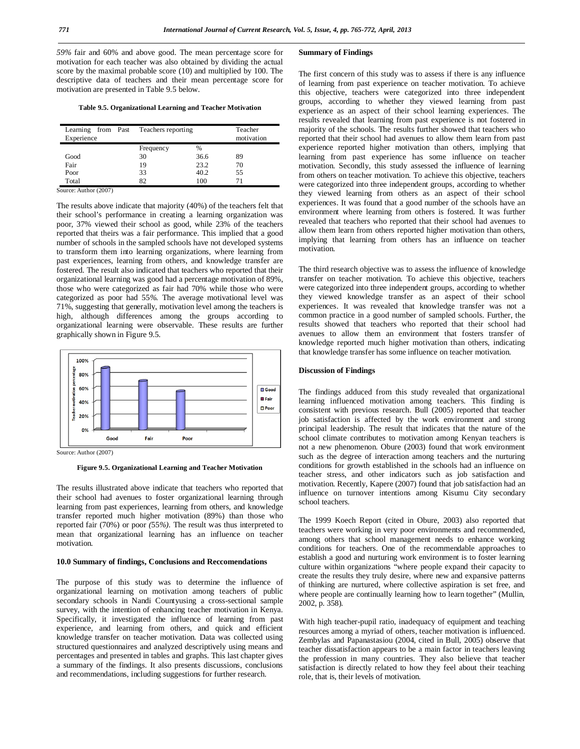*59%* fair and 60% and above good. The mean percentage score for motivation for each teacher was also obtained by dividing the actual score by the maximal probable score (10) and multiplied by 100. The descriptive data of teachers and their mean percentage score for motivation are presented in Table 9.5 below.

**Table 9.5. Organizational Learning and Teacher Motivation**

| Experience | Learning from Past Teachers reporting |      | Teacher<br>motivation |
|------------|---------------------------------------|------|-----------------------|
|            | Frequency                             | %    |                       |
| Good       | 30                                    | 36.6 | 89                    |
| Fair       | 19                                    | 23.2 | 70                    |
| Poor       | 33                                    | 40.2 | 55                    |
| Total      | 82                                    | 100  | 71                    |

Source: Author (2007)

The results above indicate that majority (40%) of the teachers felt that their school's performance in creating a learning organization was poor, 37% viewed their school as good, while 23% of the teachers reported that theirs was a fair performance. This implied that a good number of schools in the sampled schools have not developed systems to transform them into learning organizations, where learning from past experiences, learning from others, and knowledge transfer are fostered. The result also indicated that teachers who reported that their organizational learning was good had a percentage motivation of 89%, those who were categorized as fair had 70% while those who were categorized as poor had 55*%.* The average motivational level was 71%, suggesting that generally, motivation level among the teachers is high, although differences among the groups according to organizational learning were observable. These results are further graphically shown in Figure 9.5.



Source: Author (2007)

**Figure 9.5. Organizational Learning and Teacher Motivation**

The results illustrated above indicate that teachers who reported that their school had avenues to foster organizational learning through learning from past experiences, learning from others, and knowledge transfer reported much higher motivation (89%) than those who reported fair (70%) or poor *(*55*%).* The result was thus interpreted to mean that organizational learning has an influence on teacher motivation.

### **10.0 Summary of findings, Conclusions and Reccomendations**

The purpose of this study was to determine the influence of organizational learning on motivation among teachers of public secondary schools in Nandi Countyusing a cross-sectional sample survey, with the intention of enhancing teacher motivation in Kenya. Specifically, it investigated the influence of learning from past experience, and learning from others, and quick and efficient knowledge transfer on teacher motivation. Data was collected using structured questionnaires and analyzed descriptively using means and percentages and presented in tables and graphs. This last chapter gives a summary of the findings. It also presents discussions, conclusions and recommendations, including suggestions for further research.

## **Summary of Findings**

The first concern of this study was to assess if there is any influence of learning from past experience on teacher motivation. To achieve this objective, teachers were categorized into three independent groups, according to whether they viewed learning from past experience as an aspect of their school learning experiences. The results revealed that learning from past experience is not fostered in majority of the schools. The results further showed that teachers who reported that their school had avenues to allow them learn from past experience reported higher motivation than others, implying that learning from past experience has some influence on teacher motivation. Secondly, this study assessed the influence of learning from others on teacher motivation. To achieve this objective, teachers were categorized into three independent groups, according to whether they viewed learning from others as an aspect of their school experiences. It was found that a good number of the schools have an environment where learning from others is fostered. It was further revealed that teachers who reported that their school had avenues to allow them learn from others reported higher motivation than others, implying that learning from others has an influence on teacher motivation.

The third research objective was to assess the influence of knowledge transfer on teacher motivation. To achieve this objective, teachers were categorized into three independent groups, according to whether they viewed knowledge transfer as an aspect of their school experiences. It was revealed that knowledge transfer was not a common practice in a good number of sampled schools. Further, the results showed that teachers who reported that their school had avenues to allow them an environment that fosters transfer of knowledge reported much higher motivation than others, indicating that knowledge transfer has some influence on teacher motivation.

## **Discussion of Findings**

The findings adduced from this study revealed that organizational learning influenced motivation among teachers. This finding is consistent with previous research. Bull (2005) reported that teacher job satisfaction is affected by the work environment and strong principal leadership. The result that indicates that the nature of the school climate contributes to motivation among Kenyan teachers is not a new phenomenon. Obure (2003) found that work environment such as the degree of interaction among teachers and the nurturing conditions for growth established in the schools had an influence on teacher stress, and other indicators such as job satisfaction and motivation. Recently, Kapere (2007) found that job satisfaction had an influence on turnover intentions among Kisumu City secondary school teachers.

The 1999 Koech Report (cited in Obure, 2003) also reported that teachers were working in very poor environments and recommended, among others that school management needs to enhance working conditions for teachers. One of the recommendable approaches to establish a good and nurturing work environment is to foster learning culture within organizations "where people expand their capacity to create the results they truly desire, where new and expansive patterns of thinking are nurtured, where collective aspiration is set free, and where people are continually learning how to learn together" (Mullin, 2002, p. 358)*.*

With high teacher-pupil ratio, inadequacy of equipment and teaching resources among a myriad of others, teacher motivation is influenced. Zembylas and Papanastasiou (2004, cited in Bull, 2005) observe that teacher dissatisfaction appears to be a main factor in teachers leaving the profession in many countries. They also believe that teacher satisfaction is directly related to how they feel about their teaching role, that is, their levels of motivation.